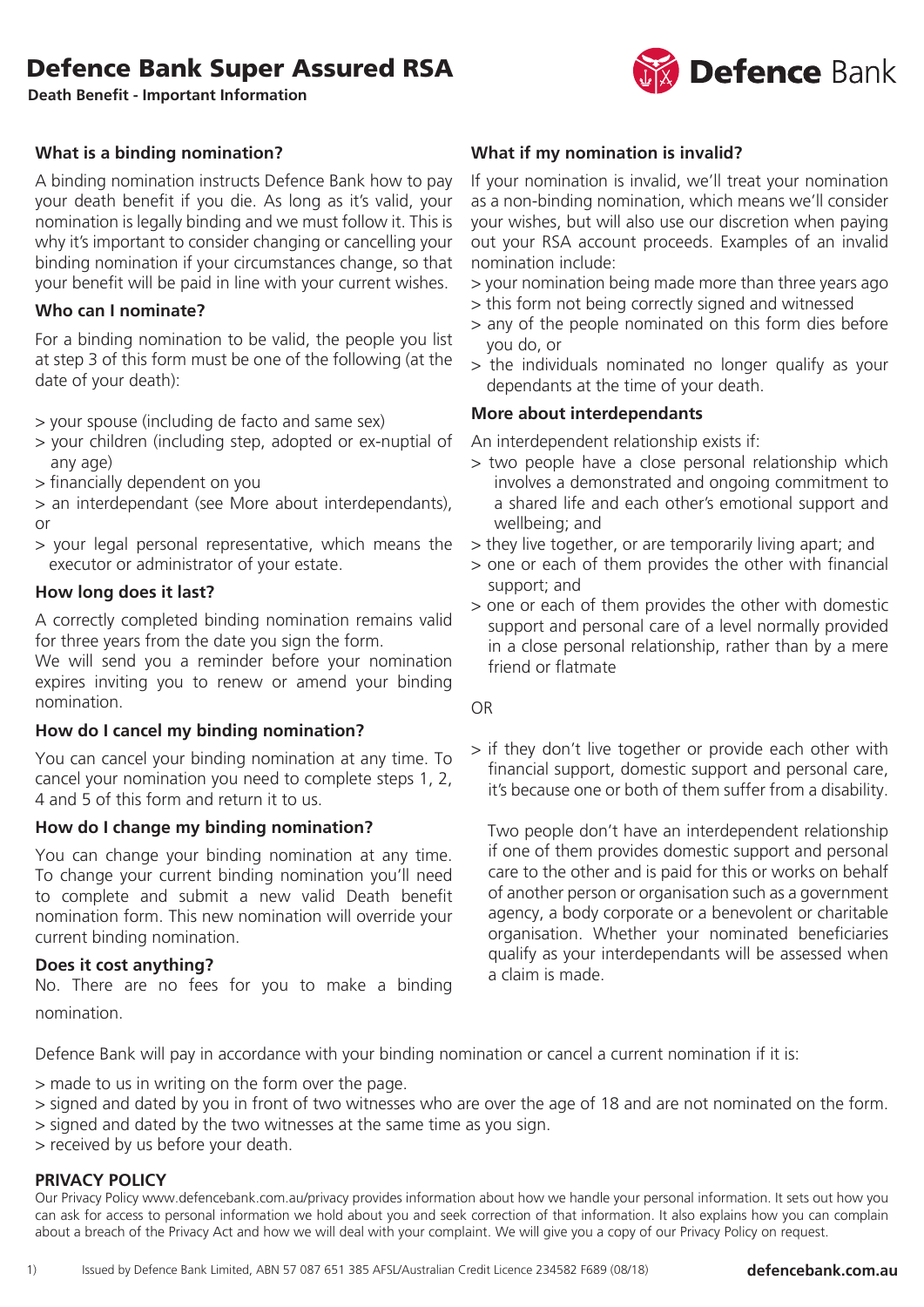**Death Benefit - Important Information**

## **What is a binding nomination?**

A binding nomination instructs Defence Bank how to pay your death benefit if you die. As long as it's valid, your nomination is legally binding and we must follow it. This is why it's important to consider changing or cancelling your binding nomination if your circumstances change, so that your benefit will be paid in line with your current wishes.

## **Who can I nominate?**

For a binding nomination to be valid, the people you list at step 3 of this form must be one of the following (at the date of your death):

> your spouse (including de facto and same sex)

- > your children (including step, adopted or ex-nuptial of any age)
- > financially dependent on you
- > an interdependant (see More about interdependants), or
- > your legal personal representative, which means the executor or administrator of your estate.

## **How long does it last?**

A correctly completed binding nomination remains valid for three years from the date you sign the form.

We will send you a reminder before your nomination expires inviting you to renew or amend your binding nomination.

## **How do I cancel my binding nomination?**

You can cancel your binding nomination at any time. To cancel your nomination you need to complete steps 1, 2, 4 and 5 of this form and return it to us.

## **How do I change my binding nomination?**

You can change your binding nomination at any time. To change your current binding nomination you'll need to complete and submit a new valid Death benefit nomination form. This new nomination will override your current binding nomination.

## **Does it cost anything?**

No. There are no fees for you to make a binding nomination.

## **What if my nomination is invalid?**

If your nomination is invalid, we'll treat your nomination as a non-binding nomination, which means we'll consider your wishes, but will also use our discretion when paying out your RSA account proceeds. Examples of an invalid nomination include:

- > your nomination being made more than three years ago
- > this form not being correctly signed and witnessed
- > any of the people nominated on this form dies before you do, or
- > the individuals nominated no longer qualify as your dependants at the time of your death.

## **More about interdependants**

An interdependent relationship exists if:

- > two people have a close personal relationship which involves a demonstrated and ongoing commitment to a shared life and each other's emotional support and wellbeing; and
- > they live together, or are temporarily living apart; and
- > one or each of them provides the other with financial support; and
- > one or each of them provides the other with domestic support and personal care of a level normally provided in a close personal relationship, rather than by a mere friend or flatmate

OR

> if they don't live together or provide each other with financial support, domestic support and personal care, it's because one or both of them suffer from a disability.

 Two people don't have an interdependent relationship if one of them provides domestic support and personal care to the other and is paid for this or works on behalf of another person or organisation such as a government agency, a body corporate or a benevolent or charitable organisation. Whether your nominated beneficiaries qualify as your interdependants will be assessed when a claim is made.

Defence Bank will pay in accordance with your binding nomination or cancel a current nomination if it is:

> made to us in writing on the form over the page.

- > signed and dated by you in front of two witnesses who are over the age of 18 and are not nominated on the form.
- > signed and dated by the two witnesses at the same time as you sign.
- > received by us before your death.

### **PRIVACY POLICY**

Our Privacy Policy www.defencebank.com.au/privacy provides information about how we handle your personal information. It sets out how you can ask for access to personal information we hold about you and seek correction of that information. It also explains how you can complain about a breach of the Privacy Act and how we will deal with your complaint. We will give you a copy of our Privacy Policy on request.

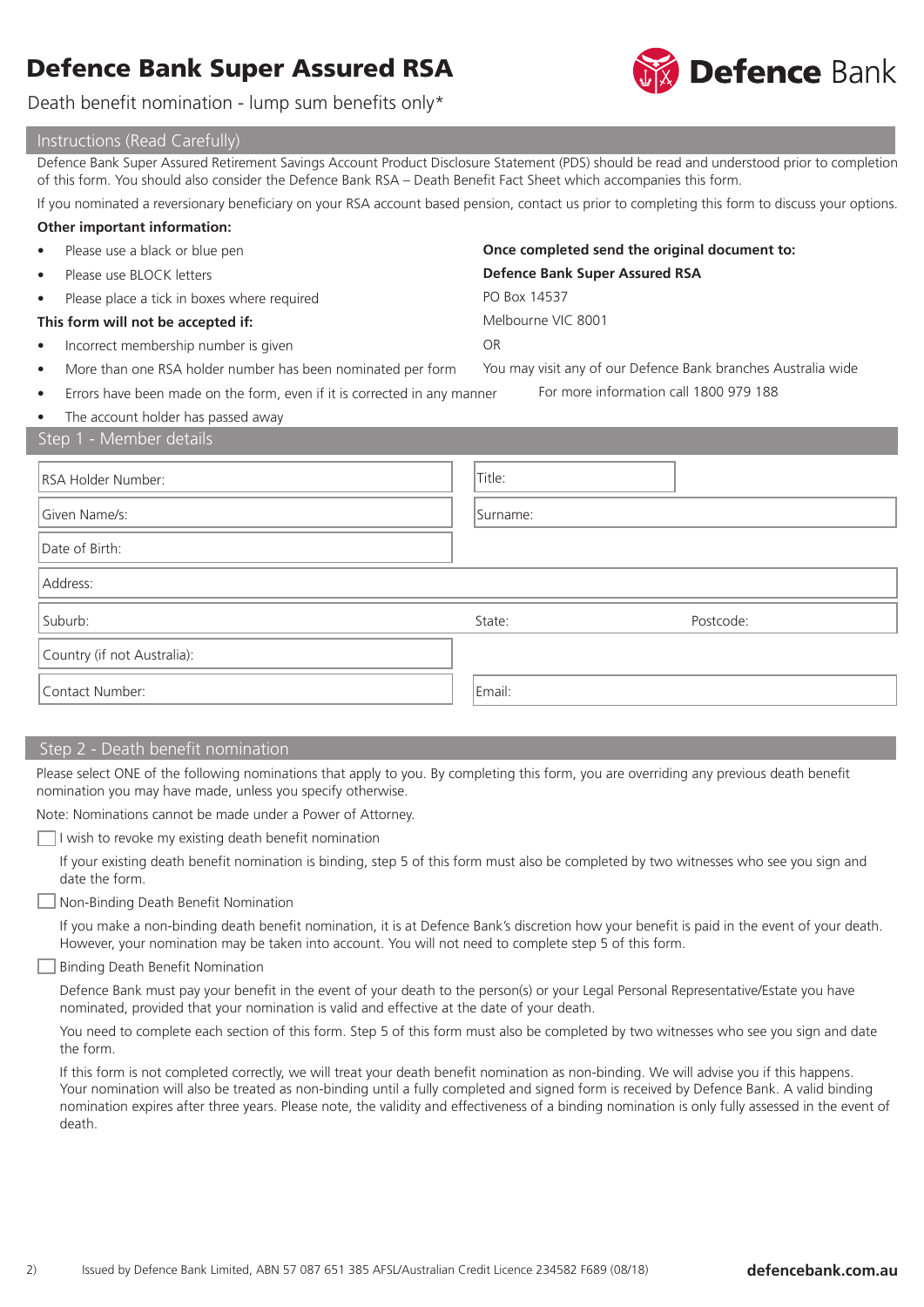

Death benefit nomination - lump sum benefits only\*

| Instructions (Read Carefully)                                                                                                                                                                                                                                     |                                                               |  |  |  |  |  |
|-------------------------------------------------------------------------------------------------------------------------------------------------------------------------------------------------------------------------------------------------------------------|---------------------------------------------------------------|--|--|--|--|--|
| Defence Bank Super Assured Retirement Savings Account Product Disclosure Statement (PDS) should be read and understood prior to completion<br>of this form. You should also consider the Defence Bank RSA - Death Benefit Fact Sheet which accompanies this form. |                                                               |  |  |  |  |  |
| If you nominated a reversionary beneficiary on your RSA account based pension, contact us prior to completing this form to discuss your options.                                                                                                                  |                                                               |  |  |  |  |  |
| Other important information:                                                                                                                                                                                                                                      |                                                               |  |  |  |  |  |
| Please use a black or blue pen                                                                                                                                                                                                                                    | Once completed send the original document to:                 |  |  |  |  |  |
| Please use BLOCK letters                                                                                                                                                                                                                                          | <b>Defence Bank Super Assured RSA</b>                         |  |  |  |  |  |
| Please place a tick in boxes where required                                                                                                                                                                                                                       | PO Box 14537                                                  |  |  |  |  |  |
| This form will not be accepted if:                                                                                                                                                                                                                                | Melbourne VIC 8001                                            |  |  |  |  |  |
| Incorrect membership number is given<br>٠                                                                                                                                                                                                                         | <b>OR</b>                                                     |  |  |  |  |  |
| More than one RSA holder number has been nominated per form<br>$\bullet$                                                                                                                                                                                          | You may visit any of our Defence Bank branches Australia wide |  |  |  |  |  |
| For more information call 1800 979 188<br>Errors have been made on the form, even if it is corrected in any manner<br>٠                                                                                                                                           |                                                               |  |  |  |  |  |
| The account holder has passed away<br>$\bullet$                                                                                                                                                                                                                   |                                                               |  |  |  |  |  |
| Step 1 - Member details                                                                                                                                                                                                                                           |                                                               |  |  |  |  |  |
| RSA Holder Number:                                                                                                                                                                                                                                                | Title:                                                        |  |  |  |  |  |
| Given Name/s:                                                                                                                                                                                                                                                     | Surname:                                                      |  |  |  |  |  |
| Date of Birth:                                                                                                                                                                                                                                                    |                                                               |  |  |  |  |  |
| Address:                                                                                                                                                                                                                                                          |                                                               |  |  |  |  |  |
| Suburb:                                                                                                                                                                                                                                                           | State:<br>Postcode:                                           |  |  |  |  |  |
| Country (if not Australia):                                                                                                                                                                                                                                       |                                                               |  |  |  |  |  |
| Contact Number:                                                                                                                                                                                                                                                   | Email:                                                        |  |  |  |  |  |

## Step 2 - Death benefit nomination

Please select ONE of the following nominations that apply to you. By completing this form, you are overriding any previous death benefit nomination you may have made, unless you specify otherwise.

Note: Nominations cannot be made under a Power of Attorney.

 $\Box$  I wish to revoke my existing death benefit nomination

If your existing death benefit nomination is binding, step 5 of this form must also be completed by two witnesses who see you sign and date the form.

Non-Binding Death Benefit Nomination

If you make a non-binding death benefit nomination, it is at Defence Bank's discretion how your benefit is paid in the event of your death. However, your nomination may be taken into account. You will not need to complete step 5 of this form.

#### Binding Death Benefit Nomination

Defence Bank must pay your benefit in the event of your death to the person(s) or your Legal Personal Representative/Estate you have nominated, provided that your nomination is valid and effective at the date of your death.

You need to complete each section of this form. Step 5 of this form must also be completed by two witnesses who see you sign and date the form.

If this form is not completed correctly, we will treat your death benefit nomination as non-binding. We will advise you if this happens. Your nomination will also be treated as non-binding until a fully completed and signed form is received by Defence Bank. A valid binding nomination expires after three years. Please note, the validity and effectiveness of a binding nomination is only fully assessed in the event of death.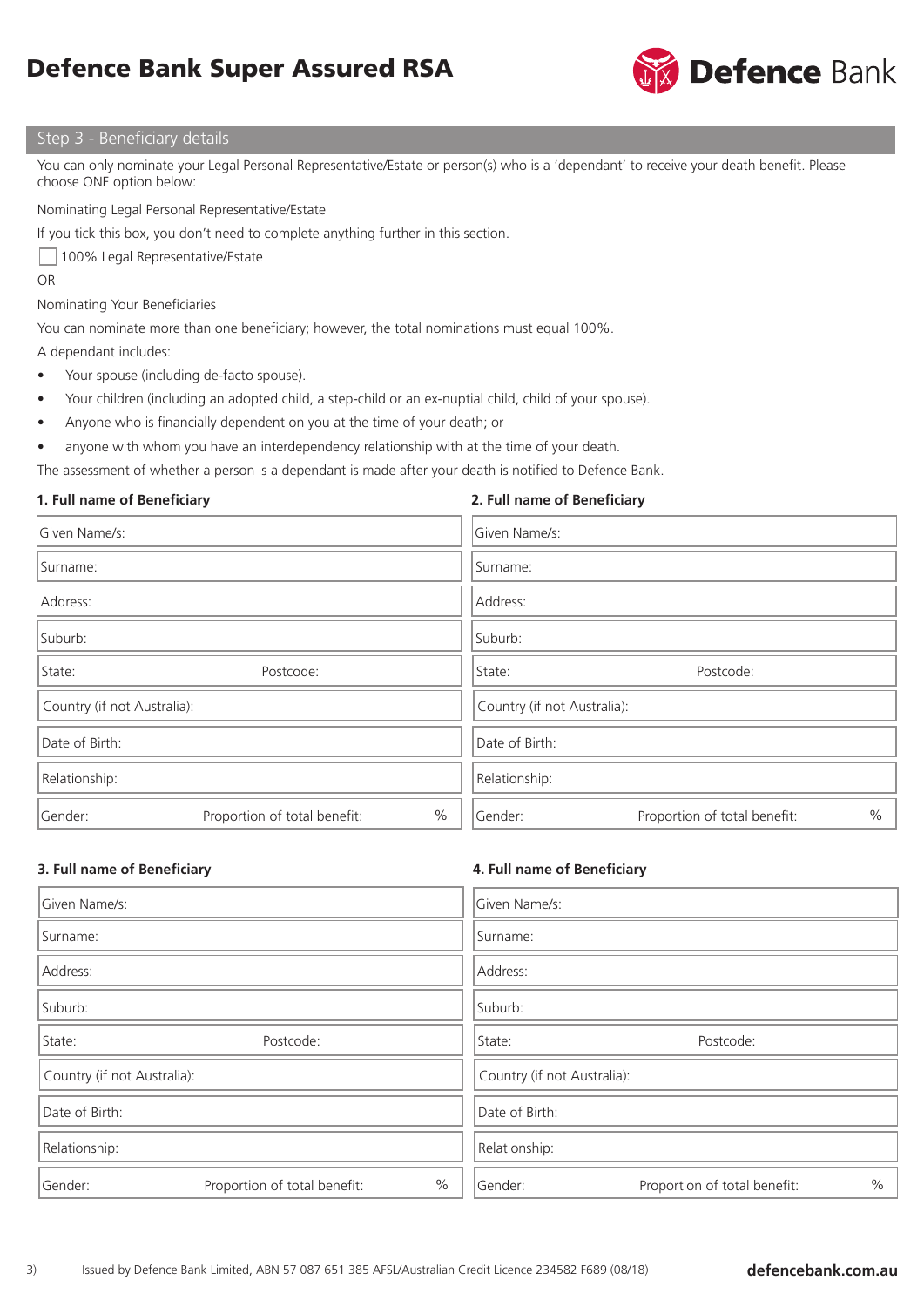

### Step 3 - Beneficiary details

You can only nominate your Legal Personal Representative/Estate or person(s) who is a 'dependant' to receive your death benefit. Please choose ONE option below:

Nominating Legal Personal Representative/Estate

If you tick this box, you don't need to complete anything further in this section.

100% Legal Representative/Estate

OR

#### Nominating Your Beneficiaries

You can nominate more than one beneficiary; however, the total nominations must equal 100%.

A dependant includes:

- Your spouse (including de-facto spouse).
- Your children (including an adopted child, a step-child or an ex-nuptial child, child of your spouse).
- Anyone who is financially dependent on you at the time of your death; or
- anyone with whom you have an interdependency relationship with at the time of your death.

The assessment of whether a person is a dependant is made after your death is notified to Defence Bank.

### **1. Full name of Beneficiary**

### **2. Full name of Beneficiary**

| Given Name/s:               |                              |      | Given Name/s:               |                              |      |  |  |
|-----------------------------|------------------------------|------|-----------------------------|------------------------------|------|--|--|
| Surname:                    |                              |      | Surname:                    |                              |      |  |  |
| Address:                    |                              |      | Address:                    |                              |      |  |  |
| Suburb:                     |                              |      | Suburb:                     |                              |      |  |  |
| State:                      | Postcode:                    |      | Postcode:<br>State:         |                              |      |  |  |
| Country (if not Australia): |                              |      | Country (if not Australia): |                              |      |  |  |
| Date of Birth:              |                              |      | Date of Birth:              |                              |      |  |  |
| Relationship:               |                              |      | Relationship:               |                              |      |  |  |
| Gender:                     | Proportion of total benefit: | $\%$ | Gender:                     | Proportion of total benefit: | $\%$ |  |  |

### **3. Full name of Beneficiary**

### **4. Full name of Beneficiary**

| Given Name/s:               |                              |               | Given Name/s:               |                              |      |  |
|-----------------------------|------------------------------|---------------|-----------------------------|------------------------------|------|--|
| Surname:                    |                              |               | Surname:                    |                              |      |  |
| Address:                    |                              |               | Address:                    |                              |      |  |
| Suburb:                     |                              |               | Suburb:                     |                              |      |  |
| State:                      | Postcode:                    |               | Postcode:<br>State:         |                              |      |  |
| Country (if not Australia): |                              |               | Country (if not Australia): |                              |      |  |
| Date of Birth:              |                              |               | Date of Birth:              |                              |      |  |
| Relationship:               |                              |               | Relationship:               |                              |      |  |
| Gender:                     | Proportion of total benefit: | $\frac{0}{0}$ | Gender:                     | Proportion of total benefit: | $\%$ |  |